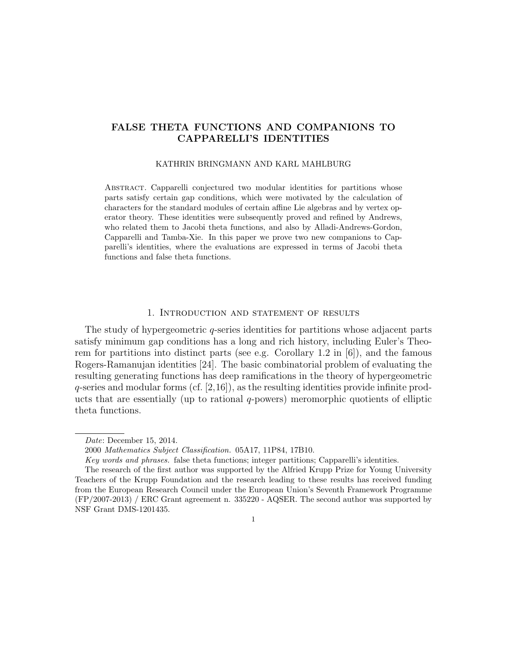# FALSE THETA FUNCTIONS AND COMPANIONS TO CAPPARELLI'S IDENTITIES

#### KATHRIN BRINGMANN AND KARL MAHLBURG

Abstract. Capparelli conjectured two modular identities for partitions whose parts satisfy certain gap conditions, which were motivated by the calculation of characters for the standard modules of certain affine Lie algebras and by vertex operator theory. These identities were subsequently proved and refined by Andrews, who related them to Jacobi theta functions, and also by Alladi-Andrews-Gordon, Capparelli and Tamba-Xie. In this paper we prove two new companions to Capparelli's identities, where the evaluations are expressed in terms of Jacobi theta functions and false theta functions.

### 1. Introduction and statement of results

The study of hypergeometric q-series identities for partitions whose adjacent parts satisfy minimum gap conditions has a long and rich history, including Euler's Theorem for partitions into distinct parts (see e.g. Corollary 1.2 in  $[6]$ ), and the famous Rogers-Ramanujan identities [24]. The basic combinatorial problem of evaluating the resulting generating functions has deep ramifications in the theory of hypergeometric  $q$ -series and modular forms (cf. [2,16]), as the resulting identities provide infinite products that are essentially (up to rational  $q$ -powers) meromorphic quotients of elliptic theta functions.

Date: December 15, 2014.

<sup>2000</sup> Mathematics Subject Classification. 05A17, 11P84, 17B10.

Key words and phrases. false theta functions; integer partitions; Capparelli's identities.

The research of the first author was supported by the Alfried Krupp Prize for Young University Teachers of the Krupp Foundation and the research leading to these results has received funding from the European Research Council under the European Union's Seventh Framework Programme (FP/2007-2013) / ERC Grant agreement n. 335220 - AQSER. The second author was supported by NSF Grant DMS-1201435.

<sup>1</sup>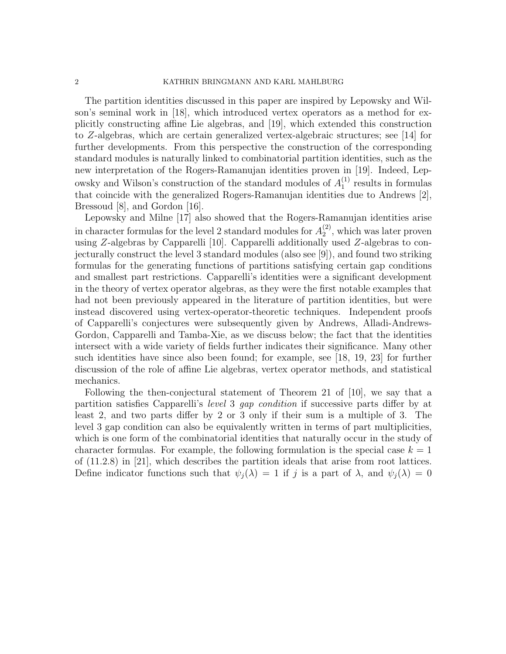2 KATHRIN BRINGMANN AND KARL MAHLBURG

The partition identities discussed in this paper are inspired by Lepowsky and Wilson's seminal work in [18], which introduced vertex operators as a method for explicitly constructing affine Lie algebras, and [19], which extended this construction to Z-algebras, which are certain generalized vertex-algebraic structures; see [14] for further developments. From this perspective the construction of the corresponding standard modules is naturally linked to combinatorial partition identities, such as the new interpretation of the Rogers-Ramanujan identities proven in [19]. Indeed, Lepowsky and Wilson's construction of the standard modules of  $A_1^{(1)}$  $_1^{(1)}$  results in formulas that coincide with the generalized Rogers-Ramanujan identities due to Andrews [2], Bressoud [8], and Gordon [16].

Lepowsky and Milne [17] also showed that the Rogers-Ramanujan identities arise in character formulas for the level 2 standard modules for  $A_2^{(2)}$  $2^{(2)}$ , which was later proven using Z-algebras by Capparelli [10]. Capparelli additionally used Z-algebras to conjecturally construct the level 3 standard modules (also see [9]), and found two striking formulas for the generating functions of partitions satisfying certain gap conditions and smallest part restrictions. Capparelli's identities were a significant development in the theory of vertex operator algebras, as they were the first notable examples that had not been previously appeared in the literature of partition identities, but were instead discovered using vertex-operator-theoretic techniques. Independent proofs of Capparelli's conjectures were subsequently given by Andrews, Alladi-Andrews-Gordon, Capparelli and Tamba-Xie, as we discuss below; the fact that the identities intersect with a wide variety of fields further indicates their significance. Many other such identities have since also been found; for example, see [18, 19, 23] for further discussion of the role of affine Lie algebras, vertex operator methods, and statistical mechanics.

Following the then-conjectural statement of Theorem 21 of [10], we say that a partition satisfies Capparelli's level 3 gap condition if successive parts differ by at least 2, and two parts differ by 2 or 3 only if their sum is a multiple of 3. The level 3 gap condition can also be equivalently written in terms of part multiplicities, which is one form of the combinatorial identities that naturally occur in the study of character formulas. For example, the following formulation is the special case  $k = 1$ of (11.2.8) in [21], which describes the partition ideals that arise from root lattices. Define indicator functions such that  $\psi_i(\lambda) = 1$  if j is a part of  $\lambda$ , and  $\psi_i(\lambda) = 0$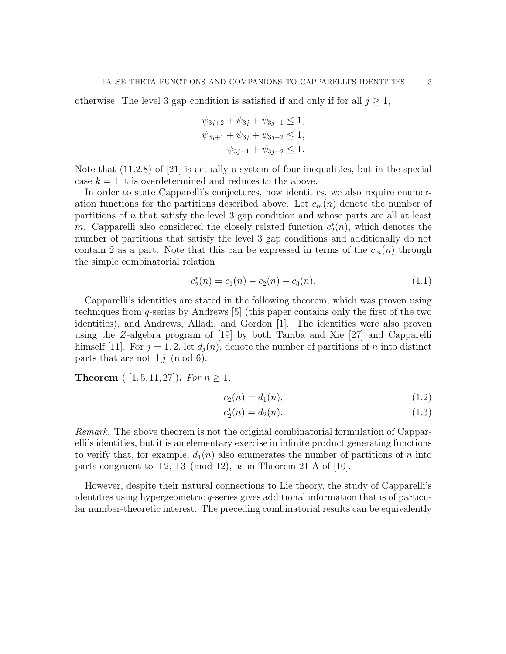otherwise. The level 3 gap condition is satisfied if and only if for all  $j \geq 1$ ,

$$
\psi_{3j+2} + \psi_{3j} + \psi_{3j-1} \le 1,
$$
  

$$
\psi_{3j+1} + \psi_{3j} + \psi_{3j-2} \le 1,
$$
  

$$
\psi_{3j-1} + \psi_{3j-2} \le 1.
$$

Note that (11.2.8) of [21] is actually a system of four inequalities, but in the special case  $k = 1$  it is overdetermined and reduces to the above.

In order to state Capparelli's conjectures, now identities, we also require enumeration functions for the partitions described above. Let  $c_m(n)$  denote the number of partitions of n that satisfy the level 3 gap condition and whose parts are all at least m. Capparelli also considered the closely related function  $c_2^*(n)$ , which denotes the number of partitions that satisfy the level 3 gap conditions and additionally do not contain 2 as a part. Note that this can be expressed in terms of the  $c_m(n)$  through the simple combinatorial relation

$$
c_2^*(n) = c_1(n) - c_2(n) + c_3(n). \tag{1.1}
$$

Capparelli's identities are stated in the following theorem, which was proven using techniques from q-series by Andrews [5] (this paper contains only the first of the two identities), and Andrews, Alladi, and Gordon [1]. The identities were also proven using the Z-algebra program of [19] by both Tamba and Xie [27] and Capparelli himself [11]. For  $j = 1, 2$ , let  $d_i(n)$ , denote the number of partitions of n into distinct parts that are not  $\pm j \pmod{6}$ .

**Theorem** (  $[1, 5, 11, 27]$ ). For  $n \geq 1$ ,

$$
c_2(n) = d_1(n),
$$
\n(1.2)

$$
c_2^*(n) = d_2(n). \tag{1.3}
$$

Remark. The above theorem is not the original combinatorial formulation of Capparelli's identities, but it is an elementary exercise in infinite product generating functions to verify that, for example,  $d_1(n)$  also enumerates the number of partitions of n into parts congruent to  $\pm 2, \pm 3 \pmod{12}$ , as in Theorem 21 A of [10].

However, despite their natural connections to Lie theory, the study of Capparelli's identities using hypergeometric q-series gives additional information that is of particular number-theoretic interest. The preceding combinatorial results can be equivalently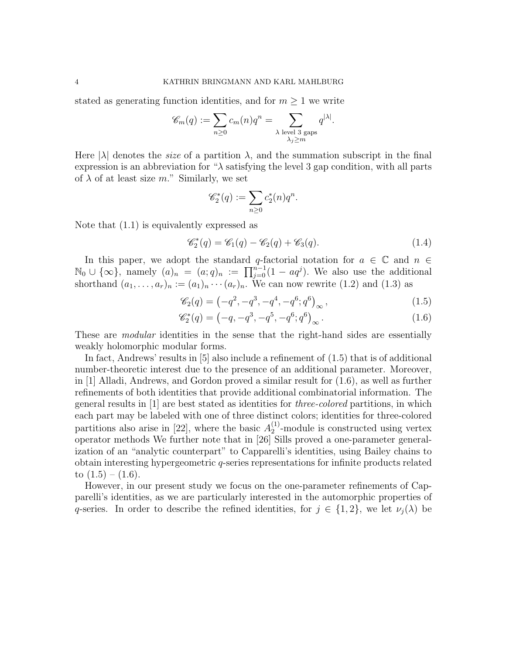stated as generating function identities, and for  $m \geq 1$  we write

$$
\mathscr{C}_m(q) := \sum_{n \geq 0} c_m(n) q^n = \sum_{\substack{\lambda \text{ level } 3 \text{ gaps} \\ \lambda_j \geq m}} q^{|\lambda|}.
$$

Here  $|\lambda|$  denotes the *size* of a partition  $\lambda$ , and the summation subscript in the final expression is an abbreviation for " $\lambda$  satisfying the level 3 gap condition, with all parts of  $\lambda$  of at least size m." Similarly, we set

$$
\mathscr{C}_2^*(q) := \sum_{n \geq 0} c_2^*(n) q^n.
$$

Note that (1.1) is equivalently expressed as

$$
\mathscr{C}_2^*(q) = \mathscr{C}_1(q) - \mathscr{C}_2(q) + \mathscr{C}_3(q). \tag{1.4}
$$

In this paper, we adopt the standard q-factorial notation for  $a \in \mathbb{C}$  and  $n \in$  $\mathbb{N}_0 \cup \{\infty\}$ , namely  $(a)_n = (a;q)_n := \prod_{j=0}^{n-1} (1 - aq^j)$ . We also use the additional shorthand  $(a_1, \ldots, a_r)_n := (a_1)_n \cdots (a_r)_n$ . We can now rewrite (1.2) and (1.3) as

$$
\mathscr{C}_2(q) = \left(-q^2, -q^3, -q^4, -q^6; q^6\right)_{\infty},\tag{1.5}
$$

$$
\mathscr{C}_{2}^{*}(q) = (-q, -q^{3}, -q^{5}, -q^{6}; q^{6})_{\infty}.
$$
\n(1.6)

These are *modular* identities in the sense that the right-hand sides are essentially weakly holomorphic modular forms.

In fact, Andrews' results in [5] also include a refinement of (1.5) that is of additional number-theoretic interest due to the presence of an additional parameter. Moreover, in [1] Alladi, Andrews, and Gordon proved a similar result for (1.6), as well as further refinements of both identities that provide additional combinatorial information. The general results in [1] are best stated as identities for three-colored partitions, in which each part may be labeled with one of three distinct colors; identities for three-colored partitions also arise in [22], where the basic  $A_2^{(1)}$  $2^{(1)}$ -module is constructed using vertex operator methods We further note that in [26] Sills proved a one-parameter generalization of an "analytic counterpart" to Capparelli's identities, using Bailey chains to obtain interesting hypergeometric q-series representations for infinite products related to  $(1.5) - (1.6)$ .

However, in our present study we focus on the one-parameter refinements of Capparelli's identities, as we are particularly interested in the automorphic properties of q-series. In order to describe the refined identities, for  $j \in \{1,2\}$ , we let  $\nu_i(\lambda)$  be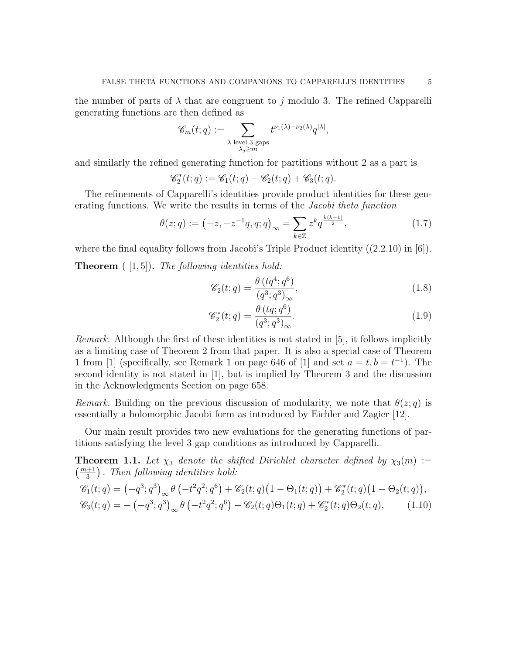the number of parts of  $\lambda$  that are congruent to j modulo 3. The refined Capparelli generating functions are then defined as

$$
\mathscr{C}_m(t;q) := \sum_{\substack{\lambda \text{ level } 3 \text{ gaps} \\ \lambda_j \ge m}} t^{\nu_1(\lambda) - \nu_2(\lambda)} q^{|\lambda|},
$$

and similarly the refined generating function for partitions without 2 as a part is

$$
\mathscr{C}_2^*(t;q):=\mathscr{C}_1(t;q)-\mathscr{C}_2(t;q)+\mathscr{C}_3(t;q).
$$

The refinements of Capparelli's identities provide product identities for these generating functions. We write the results in terms of the Jacobi theta function

$$
\theta(z;q) := \left(-z, -z^{-1}q, q; q\right)_{\infty} = \sum_{k \in \mathbb{Z}} z^k q^{\frac{k(k-1)}{2}},\tag{1.7}
$$

where the final equality follows from Jacobi's Triple Product identity  $((2.2.10)$  in [6]). **Theorem**  $([1, 5])$ . The following identities hold:

$$
\mathscr{C}_2(t;q) = \frac{\theta\left(tq^4;q^6\right)}{\left(q^3;q^3\right)_{\infty}},\tag{1.8}
$$

$$
\mathscr{C}_{2}^{*}(t;q) = \frac{\theta\left(tq;q^{6}\right)}{\left(q^{3};q^{3}\right)_{\infty}}.\tag{1.9}
$$

Remark. Although the first of these identities is not stated in [5], it follows implicitly as a limiting case of Theorem 2 from that paper. It is also a special case of Theorem 1 from [1] (specifically, see Remark 1 on page 646 of [1] and set  $a = t, b = t^{-1}$ ). The second identity is not stated in [1], but is implied by Theorem 3 and the discussion in the Acknowledgments Section on page 658.

Remark. Building on the previous discussion of modularity, we note that  $\theta(z; q)$  is essentially a holomorphic Jacobi form as introduced by Eichler and Zagier [12].

Our main result provides two new evaluations for the generating functions of partitions satisfying the level 3 gap conditions as introduced by Capparelli.

**Theorem 1.1.** Let  $\chi_3$  denote the shifted Dirichlet character defined by  $\chi_3(m) :=$  $\left(\frac{m+1}{2}\right)$  $\frac{+1}{3}$ ). Then following identities hold:

$$
\mathcal{C}_1(t;q) = (-q^3;q^3)_{\infty} \theta \left(-t^2q^2;q^6\right) + \mathcal{C}_2(t;q)\left(1-\Theta_1(t;q)\right) + \mathcal{C}_2^*(t;q)\left(1-\Theta_2(t;q)\right),
$$
  

$$
\mathcal{C}_3(t;q) = -(-q^3;q^3)_{\infty} \theta \left(-t^2q^2;q^6\right) + \mathcal{C}_2(t;q)\Theta_1(t;q) + \mathcal{C}_2^*(t;q)\Theta_2(t;q), \qquad (1.10)
$$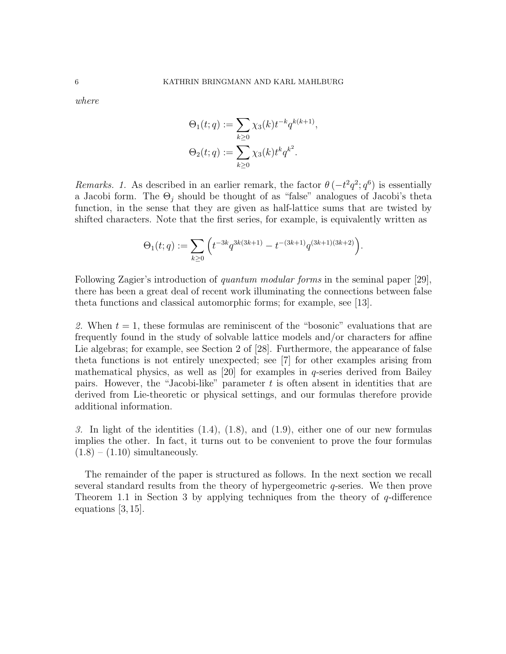where

$$
\Theta_1(t;q) := \sum_{k\geq 0} \chi_3(k) t^{-k} q^{k(k+1)},
$$
  

$$
\Theta_2(t;q) := \sum_{k\geq 0} \chi_3(k) t^k q^{k^2}.
$$

Remarks. 1. As described in an earlier remark, the factor  $\theta(-t^2q^2; q^6)$  is essentially a Jacobi form. The  $\Theta_i$  should be thought of as "false" analogues of Jacobi's theta function, in the sense that they are given as half-lattice sums that are twisted by shifted characters. Note that the first series, for example, is equivalently written as

$$
\Theta_1(t;q) := \sum_{k\geq 0} \left( t^{-3k} q^{3k(3k+1)} - t^{-(3k+1)} q^{(3k+1)(3k+2)} \right).
$$

Following Zagier's introduction of quantum modular forms in the seminal paper [29], there has been a great deal of recent work illuminating the connections between false theta functions and classical automorphic forms; for example, see [13].

2. When  $t = 1$ , these formulas are reminiscent of the "bosonic" evaluations that are frequently found in the study of solvable lattice models and/or characters for affine Lie algebras; for example, see Section 2 of [28]. Furthermore, the appearance of false theta functions is not entirely unexpected; see [7] for other examples arising from mathematical physics, as well as  $[20]$  for examples in q-series derived from Bailey pairs. However, the "Jacobi-like" parameter  $t$  is often absent in identities that are derived from Lie-theoretic or physical settings, and our formulas therefore provide additional information.

3. In light of the identities  $(1.4)$ ,  $(1.8)$ , and  $(1.9)$ , either one of our new formulas implies the other. In fact, it turns out to be convenient to prove the four formulas  $(1.8) - (1.10)$  simultaneously.

The remainder of the paper is structured as follows. In the next section we recall several standard results from the theory of hypergeometric  $q$ -series. We then prove Theorem 1.1 in Section 3 by applying techniques from the theory of  $q$ -difference equations [3, 15].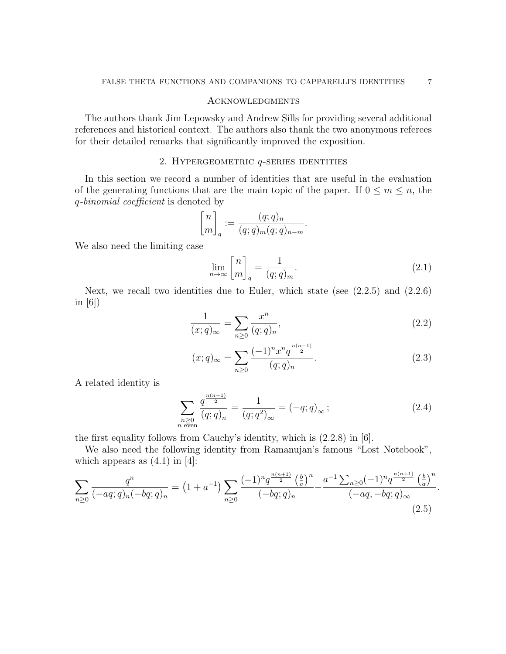## Acknowledgments

The authors thank Jim Lepowsky and Andrew Sills for providing several additional references and historical context. The authors also thank the two anonymous referees for their detailed remarks that significantly improved the exposition.

## 2. HYPERGEOMETRIC  $q$ -SERIES IDENTITIES

In this section we record a number of identities that are useful in the evaluation of the generating functions that are the main topic of the paper. If  $0 \le m \le n$ , the q-binomial coefficient is denoted by

$$
\begin{bmatrix} n \\ m \end{bmatrix}_q := \frac{(q;q)_n}{(q;q)_m (q;q)_{n-m}}.
$$

We also need the limiting case

$$
\lim_{n \to \infty} \begin{bmatrix} n \\ m \end{bmatrix}_q = \frac{1}{(q;q)_m}.
$$
\n(2.1)

Next, we recall two identities due to Euler, which state (see  $(2.2.5)$  and  $(2.2.6)$ ) in  $[6]$ 

$$
\frac{1}{(x;q)_{\infty}} = \sum_{n\geq 0} \frac{x^n}{(q;q)_n},\tag{2.2}
$$

$$
(x;q)_{\infty} = \sum_{n\geq 0} \frac{(-1)^n x^n q^{\frac{n(n-1)}{2}}}{(q;q)_n}.
$$
\n(2.3)

A related identity is

$$
\sum_{\substack{n \geq 0 \\ n \text{ even}}} \frac{q^{\frac{n(n-1)}{2}}}{(q;q)_n} = \frac{1}{(q;q^2)_{\infty}} = (-q;q)_{\infty} ; \tag{2.4}
$$

the first equality follows from Cauchy's identity, which is (2.2.8) in [6].

We also need the following identity from Ramanujan's famous "Lost Notebook", which appears as  $(4.1)$  in [4]:

$$
\sum_{n\geq 0} \frac{q^n}{(-aq;q)_n(-bq;q)_n} = \left(1+a^{-1}\right) \sum_{n\geq 0} \frac{(-1)^n q^{\frac{n(n+1)}{2}} \left(\frac{b}{a}\right)^n}{(-bq;q)_n} - \frac{a^{-1} \sum_{n\geq 0} (-1)^n q^{\frac{n(n+1)}{2}} \left(\frac{b}{a}\right)^n}{(-aq,-bq;q)_\infty}.
$$
\n(2.5)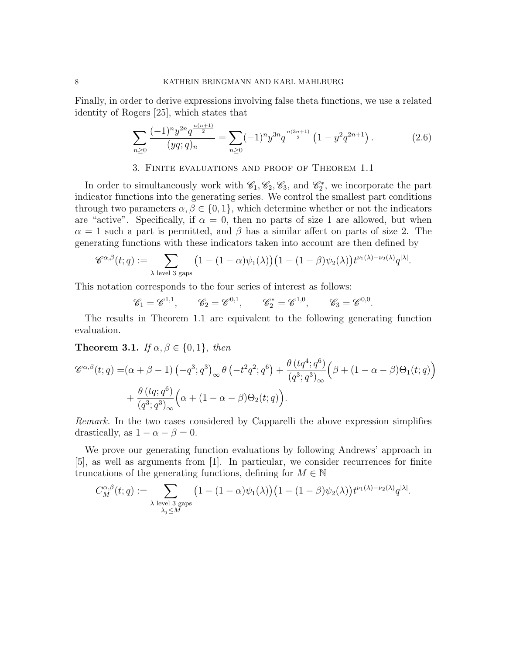Finally, in order to derive expressions involving false theta functions, we use a related identity of Rogers [25], which states that

$$
\sum_{n\geq 0} \frac{(-1)^n y^{2n} q^{\frac{n(n+1)}{2}}}{(yq;q)_n} = \sum_{n\geq 0} (-1)^n y^{3n} q^{\frac{n(3n+1)}{2}} \left(1 - y^2 q^{2n+1}\right).
$$
 (2.6)

## 3. Finite evaluations and proof of Theorem 1.1

In order to simultaneously work with  $\mathcal{C}_1, \mathcal{C}_2, \mathcal{C}_3$ , and  $\mathcal{C}_2^*$ , we incorporate the part indicator functions into the generating series. We control the smallest part conditions through two parameters  $\alpha, \beta \in \{0, 1\}$ , which determine whether or not the indicators are "active". Specifically, if  $\alpha = 0$ , then no parts of size 1 are allowed, but when  $\alpha = 1$  such a part is permitted, and  $\beta$  has a similar affect on parts of size 2. The generating functions with these indicators taken into account are then defined by

$$
\mathscr{C}^{\alpha,\beta}(t;q) := \sum_{\lambda \text{ level 3 gaps}} \left(1 - (1-\alpha)\psi_1(\lambda)\right) \left(1 - (1-\beta)\psi_2(\lambda)\right) t^{\nu_1(\lambda) - \nu_2(\lambda)} q^{|\lambda|}.
$$

This notation corresponds to the four series of interest as follows:

 $n$  -10  $n$ 

$$
\mathscr{C}_1 = \mathscr{C}^{1,1}, \qquad \mathscr{C}_2 = \mathscr{C}^{0,1}, \qquad \mathscr{C}_2^* = \mathscr{C}^{1,0}, \qquad \mathscr{C}_3 = \mathscr{C}^{0,0}.
$$

The results in Theorem 1.1 are equivalent to the following generating function evaluation.

Theorem 3.1. If  $\alpha, \beta \in \{0, 1\}$ , then

$$
\mathscr{C}^{\alpha,\beta}(t;q) = (\alpha + \beta - 1) \left( -q^3; q^3 \right)_{\infty} \theta \left( -t^2 q^2; q^6 \right) + \frac{\theta \left( tq^4; q^6 \right)}{\left( q^3; q^3 \right)_{\infty}} \left( \beta + (1 - \alpha - \beta) \Theta_1(t;q) \right) + \frac{\theta \left( tq; q^6 \right)}{\left( q^3; q^3 \right)_{\infty}} \left( \alpha + (1 - \alpha - \beta) \Theta_2(t;q) \right).
$$

Remark. In the two cases considered by Capparelli the above expression simplifies drastically, as  $1 - \alpha - \beta = 0$ .

We prove our generating function evaluations by following Andrews' approach in [5], as well as arguments from [1]. In particular, we consider recurrences for finite truncations of the generating functions, defining for  $M \in \mathbb{N}$ 

$$
C_M^{\alpha,\beta}(t;q):=\sum_{\substack{\lambda \text{ level 3 gaps} \\ \lambda_j \leq M}} \left(1-(1-\alpha)\psi_1(\lambda)\right)\left(1-(1-\beta)\psi_2(\lambda)\right) t^{\nu_1(\lambda)-\nu_2(\lambda)}q^{|\lambda|}.
$$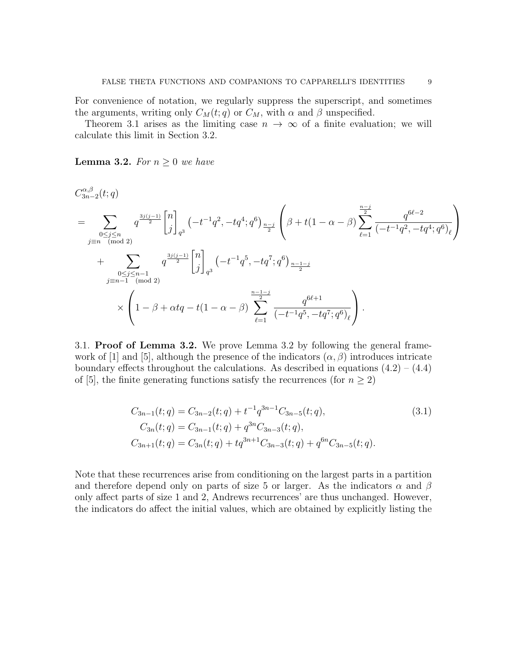For convenience of notation, we regularly suppress the superscript, and sometimes the arguments, writing only  $C_M(t;q)$  or  $C_M$ , with  $\alpha$  and  $\beta$  unspecified.

Theorem 3.1 arises as the limiting case  $n \to \infty$  of a finite evaluation; we will calculate this limit in Section 3.2.

**Lemma 3.2.** For  $n \geq 0$  we have

$$
C_{3n-2}^{\alpha,\beta}(t;q)
$$
\n
$$
= \sum_{\substack{0 \le j \le n \\ j \equiv n \pmod{2}}} q^{\frac{3j(j-1)}{2}} \begin{bmatrix} n \\ j \end{bmatrix}_{q^3} \left( -t^{-1}q^2, -tq^4; q^6 \right)_{\frac{n-j}{2}} \left( \beta + t(1-\alpha-\beta) \sum_{\ell=1}^{\frac{n-j}{2}} \frac{q^{6\ell-2}}{(-t^{-1}q^2, -tq^4; q^6)_{\ell}} \right)
$$
\n
$$
+ \sum_{\substack{0 \le j \le n-1 \\ j \equiv n-1 \pmod{2}}} q^{\frac{3j(j-1)}{2}} \begin{bmatrix} n \\ j \end{bmatrix}_{q^3} \left( -t^{-1}q^5, -tq^7; q^6 \right)_{\frac{n-1-j}{2}}
$$
\n
$$
\times \left( 1 - \beta + \alpha tq - t(1-\alpha-\beta) \sum_{\ell=1}^{\frac{n-1-j}{2}} \frac{q^{6\ell+1}}{(-t^{-1}q^5, -tq^7; q^6)_{\ell}} \right).
$$

3.1. Proof of Lemma 3.2. We prove Lemma 3.2 by following the general framework of  $|1|$  and  $|5|$ , although the presence of the indicators  $(\alpha, \beta)$  introduces intricate boundary effects throughout the calculations. As described in equations  $(4.2) - (4.4)$ of [5], the finite generating functions satisfy the recurrences (for  $n \geq 2$ )

$$
C_{3n-1}(t;q) = C_{3n-2}(t;q) + t^{-1}q^{3n-1}C_{3n-5}(t;q),
$$
  
\n
$$
C_{3n}(t;q) = C_{3n-1}(t;q) + q^{3n}C_{3n-3}(t;q),
$$
  
\n
$$
C_{3n+1}(t;q) = C_{3n}(t;q) + tq^{3n+1}C_{3n-3}(t;q) + q^{6n}C_{3n-5}(t;q).
$$
\n(3.1)

Note that these recurrences arise from conditioning on the largest parts in a partition and therefore depend only on parts of size 5 or larger. As the indicators  $\alpha$  and  $\beta$ only affect parts of size 1 and 2, Andrews recurrences' are thus unchanged. However, the indicators do affect the initial values, which are obtained by explicitly listing the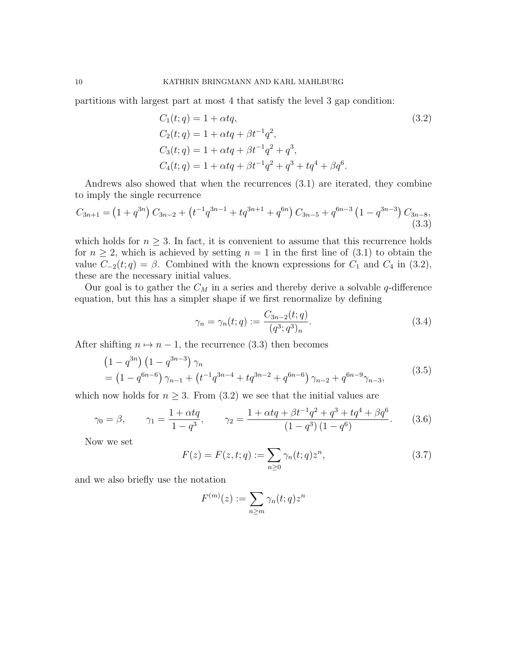partitions with largest part at most 4 that satisfy the level 3 gap condition:

$$
C_1(t;q) = 1 + \alpha tq,
$$
\n(3.2)  
\n
$$
C_2(t;q) = 1 + \alpha tq + \beta t^{-1} q^2,
$$
\n
$$
C_3(t;q) = 1 + \alpha tq + \beta t^{-1} q^2 + q^3,
$$
\n
$$
C_4(t;q) = 1 + \alpha tq + \beta t^{-1} q^2 + q^3 + tq^4 + \beta q^6.
$$

Andrews also showed that when the recurrences (3.1) are iterated, they combine to imply the single recurrence

$$
C_{3n+1} = (1+q^{3n}) C_{3n-2} + (t^{-1}q^{3n-1} + tq^{3n+1} + q^{6n}) C_{3n-5} + q^{6n-3} (1-q^{3n-3}) C_{3n-8},
$$
\n(3.3)

which holds for  $n \geq 3$ . In fact, it is convenient to assume that this recurrence holds for  $n \geq 2$ , which is achieved by setting  $n = 1$  in the first line of  $(3.1)$  to obtain the value  $C_{-2}(t; q) = \beta$ . Combined with the known expressions for  $C_1$  and  $C_4$  in (3.2), these are the necessary initial values.

Our goal is to gather the  $C_M$  in a series and thereby derive a solvable q-difference equation, but this has a simpler shape if we first renormalize by defining

$$
\gamma_n = \gamma_n(t; q) := \frac{C_{3n-2}(t; q)}{(q^3; q^3)_n}.
$$
\n(3.4)

After shifting  $n \mapsto n - 1$ , the recurrence (3.3) then becomes

$$
(1 - q^{3n}) (1 - q^{3n-3}) \gamma_n
$$
  
=  $(1 - q^{6n-6}) \gamma_{n-1} + (t^{-1}q^{3n-4} + tq^{3n-2} + q^{6n-6}) \gamma_{n-2} + q^{6n-9} \gamma_{n-3},$  (3.5)

which now holds for  $n \geq 3$ . From (3.2) we see that the initial values are

$$
\gamma_0 = \beta,
$$
\n $\gamma_1 = \frac{1 + \alpha t q}{1 - q^3},$ \n $\gamma_2 = \frac{1 + \alpha t q + \beta t^{-1} q^2 + q^3 + t q^4 + \beta q^6}{(1 - q^3)(1 - q^6)}.$ \n(3.6)

Now we set

$$
F(z) = F(z, t; q) := \sum_{n \ge 0} \gamma_n(t; q) z^n,
$$
\n(3.7)

and we also briefly use the notation

$$
F^{(m)}(z) := \sum_{n \ge m} \gamma_n(t; q) z^n
$$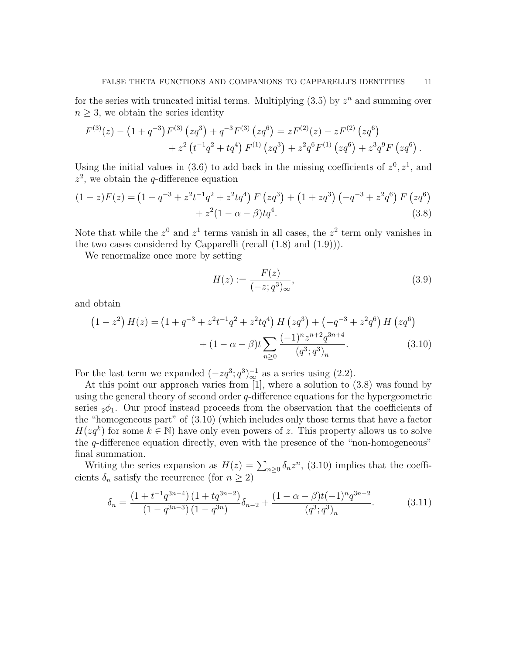for the series with truncated initial terms. Multiplying  $(3.5)$  by  $z<sup>n</sup>$  and summing over  $n \geq 3$ , we obtain the series identity

$$
F^{(3)}(z) - (1+q^{-3})F^{(3)}(zq^3) + q^{-3}F^{(3)}(zq^6) = zF^{(2)}(z) - zF^{(2)}(zq^6) + z^2(t^{-1}q^2 + tq^4) F^{(1)}(zq^3) + z^2q^6F^{(1)}(zq^6) + z^3q^9F(zq^6).
$$

Using the initial values in (3.6) to add back in the missing coefficients of  $z^0$ ,  $z^1$ , and  $z^2$ , we obtain the q-difference equation

$$
(1-z)F(z) = (1+q^{-3}+z^{2}t^{-1}q^{2}+z^{2}tq^{4}) F(zq^{3}) + (1+zq^{3}) (-q^{-3}+z^{2}q^{6}) F(zq^{6})
$$
  
+  $z^{2}(1-\alpha-\beta)tq^{4}$ . (3.8)

Note that while the  $z^0$  and  $z^1$  terms vanish in all cases, the  $z^2$  term only vanishes in the two cases considered by Capparelli (recall  $(1.8)$  and  $(1.9)$ ).

We renormalize once more by setting

$$
H(z) := \frac{F(z)}{(-z; q^3)_{\infty}},
$$
\n(3.9)

and obtain

$$
(1 - z2) H(z) = (1 + q-3 + z2t-1q2 + z2 tq4) H (zq3) + (-q-3 + z2 q6) H (zq6) + (1 - \alpha - \beta)t \sum_{n \ge 0} \frac{(-1)^n z^{n+2} q^{3n+4}}{(q^3; q^3)_n}.
$$
 (3.10)

For the last term we expanded  $(-zq^3; q^3)^{-1}_{\infty}$  as a series using (2.2).

At this point our approach varies from [1], where a solution to (3.8) was found by using the general theory of second order  $q$ -difference equations for the hypergeometric series  $2\phi_1$ . Our proof instead proceeds from the observation that the coefficients of the "homogeneous part" of (3.10) (which includes only those terms that have a factor  $H(zq^k)$  for some  $k \in \mathbb{N}$ ) have only even powers of z. This property allows us to solve the q-difference equation directly, even with the presence of the "non-homogeneous" final summation.

Writing the series expansion as  $H(z) = \sum_{n\geq 0} \delta_n z^n$ , (3.10) implies that the coefficients  $\delta_n$  satisfy the recurrence (for  $n \geq 2$ )

$$
\delta_n = \frac{\left(1 + t^{-1}q^{3n-4}\right)\left(1 + tq^{3n-2}\right)}{\left(1 - q^{3n-3}\right)\left(1 - q^{3n}\right)}\delta_{n-2} + \frac{\left(1 - \alpha - \beta\right)t\left(-1\right)^n q^{3n-2}}{\left(q^3; q^3\right)_n}.
$$
\n(3.11)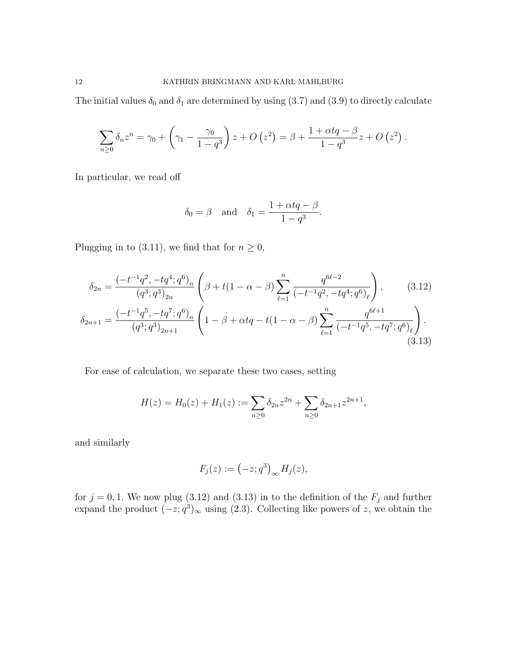The initial values  $\delta_0$  and  $\delta_1$  are determined by using (3.7) and (3.9) to directly calculate

$$
\sum_{n\geq 0} \delta_n z^n = \gamma_0 + \left(\gamma_1 - \frac{\gamma_0}{1-q^3}\right) z + O\left(z^2\right) = \beta + \frac{1 + \alpha t q - \beta}{1-q^3} z + O\left(z^2\right).
$$

In particular, we read off

$$
\delta_0 = \beta
$$
 and  $\delta_1 = \frac{1 + \alpha tq - \beta}{1 - q^3}$ .

Plugging in to (3.11), we find that for  $n \geq 0$ ,

$$
\delta_{2n} = \frac{(-t^{-1}q^2, -tq^4; q^6)_n}{(q^3; q^3)_{2n}} \left( \beta + t(1 - \alpha - \beta) \sum_{\ell=1}^n \frac{q^{6\ell - 2}}{(-t^{-1}q^2, -tq^4; q^6)_{\ell}} \right),
$$
\n(3.12)\n
$$
\delta_{2n+1} = \frac{(-t^{-1}q^5, -tq^7; q^6)_n}{(q^3; q^3)_{2n+1}} \left( 1 - \beta + \alpha tq - t(1 - \alpha - \beta) \sum_{\ell=1}^n \frac{q^{6\ell + 1}}{(-t^{-1}q^5, -tq^7; q^6)_{\ell}} \right).
$$
\n(3.13)

For ease of calculation, we separate these two cases, setting

$$
H(z) = H_0(z) + H_1(z) := \sum_{n \ge 0} \delta_{2n} z^{2n} + \sum_{n \ge 0} \delta_{2n+1} z^{2n+1},
$$

and similarly

$$
F_j(z) := (-z; q^3)_{\infty} H_j(z),
$$

for  $j = 0, 1$ . We now plug (3.12) and (3.13) in to the definition of the  $F_j$  and further expand the product  $(-z; q^3)_{\infty}$  using (2.3). Collecting like powers of z, we obtain the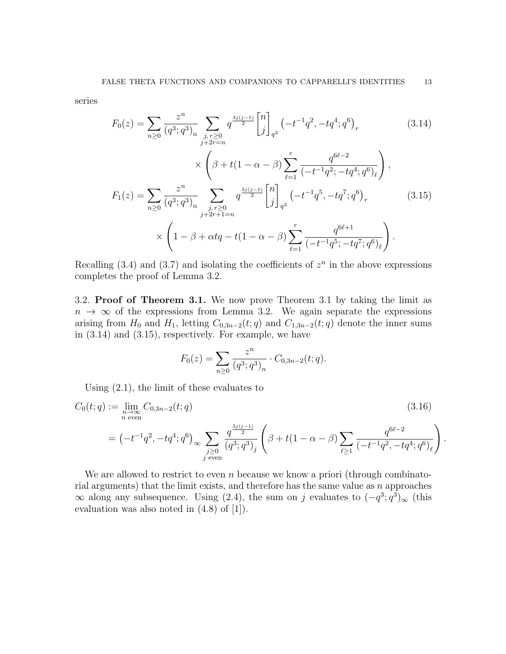series

$$
F_0(z) = \sum_{n\geq 0} \frac{z^n}{(q^3; q^3)_n} \sum_{\substack{j, r \geq 0 \\ j+2r = n}} q^{\frac{3j(j-1)}{2}} \begin{bmatrix} n \\ j \end{bmatrix}_{q^3} \left( -t^{-1}q^2, -tq^4; q^6 \right)_r
$$
 (3.14)

$$
\times \left(\beta + t(1 - \alpha - \beta) \sum_{\ell=1}^{r} \frac{q^{6\ell - 2}}{(-t^{-1}q^2; -tq^4; q^6)_{\ell}}\right),
$$
  

$$
F_1(z) = \sum_{n\geq 0} \frac{z^n}{(q^3; q^3)_n} \sum_{\substack{j, r \geq 0 \ j+2r+1=n}} q^{\frac{3j(j-1)}{2}} {n \choose j}_{q^3} (-t^{-1}q^5, -tq^7; q^6)_r
$$
 (3.15)  

$$
\times \left(1 - \beta + \alpha tq - t(1 - \alpha - \beta) \sum_{\ell=1}^{r} \frac{q^{6\ell + 1}}{(-t^{-1}q^5; -tq^7; q^6)_{\ell}}\right).
$$

Recalling (3.4) and (3.7) and isolating the coefficients of  $z<sup>n</sup>$  in the above expressions completes the proof of Lemma 3.2.

3.2. Proof of Theorem 3.1. We now prove Theorem 3.1 by taking the limit as  $n \to \infty$  of the expressions from Lemma 3.2. We again separate the expressions arising from  $H_0$  and  $H_1$ , letting  $C_{0,3n-2}(t;q)$  and  $C_{1,3n-2}(t;q)$  denote the inner sums in (3.14) and (3.15), respectively. For example, we have

$$
F_0(z) = \sum_{n \ge 0} \frac{z^n}{(q^3; q^3)_n} \cdot C_{0,3n-2}(t;q).
$$

Using (2.1), the limit of these evaluates to

$$
C_0(t;q) := \lim_{\substack{n \to \infty \\ n \text{ even}}} C_{0,3n-2}(t;q)
$$
\n
$$
= \left(-t^{-1}q^2, -tq^4; q^6\right)_{\infty} \sum_{\substack{j \ge 0 \\ j \text{ even}}} \frac{q^{\frac{3j(j-1)}{2}}}{\left(q^3; q^3\right)_j} \left(\beta + t(1-\alpha-\beta) \sum_{\ell \ge 1} \frac{q^{6\ell-2}}{\left(-t^{-1}q^2, -tq^4; q^6\right)_{\ell}}\right)
$$
\n(3.16)

.

We are allowed to restrict to even n because we know a priori (through combinatorial arguments) that the limit exists, and therefore has the same value as  $n$  approaches  $\infty$  along any subsequence. Using (2.4), the sum on j evaluates to  $(-q^3; q^3)_{\infty}$  (this evaluation was also noted in (4.8) of [1]).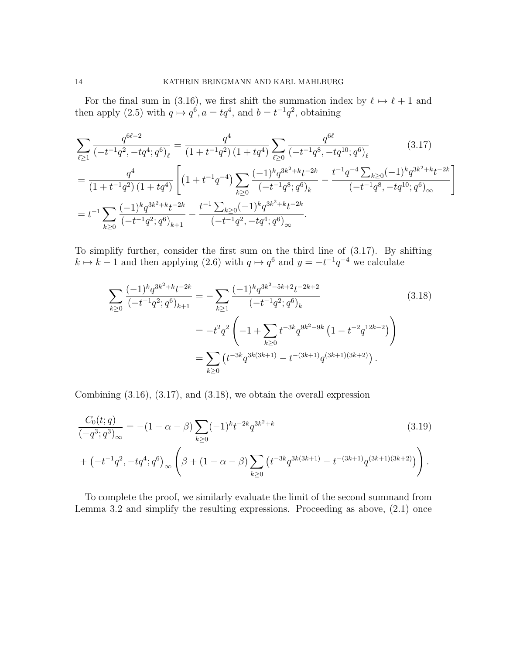For the final sum in (3.16), we first shift the summation index by  $\ell \mapsto \ell + 1$  and then apply (2.5) with  $q \mapsto q^6$ ,  $a = tq^4$ , and  $b = t^{-1}q^2$ , obtaining

$$
\sum_{\ell\geq 1} \frac{q^{6\ell-2}}{(-t^{-1}q^2, -tq^4; q^6)_{\ell}} = \frac{q^4}{(1+t^{-1}q^2)\left(1+tq^4\right)} \sum_{\ell\geq 0} \frac{q^{6\ell}}{(-t^{-1}q^8, -tq^{10}; q^6)_{\ell}} \qquad (3.17)
$$
\n
$$
= \frac{q^4}{(1+t^{-1}q^2)\left(1+tq^4\right)} \left[ \left(1+t^{-1}q^{-4}\right) \sum_{k\geq 0} \frac{(-1)^k q^{3k^2+k} t^{-2k}}{(-t^{-1}q^8; q^6)_{k}} - \frac{t^{-1}q^{-4} \sum_{k\geq 0} (-1)^k q^{3k^2+k} t^{-2k}}{(-t^{-1}q^8, -tq^{10}; q^6)_{\infty}} \right]
$$
\n
$$
= t^{-1} \sum_{k\geq 0} \frac{(-1)^k q^{3k^2+k} t^{-2k}}{(-t^{-1}q^2; q^6)_{k+1}} - \frac{t^{-1} \sum_{k\geq 0} (-1)^k q^{3k^2+k} t^{-2k}}{(-t^{-1}q^2, -tq^4; q^6)_{\infty}}.
$$
\n(3.17)

To simplify further, consider the first sum on the third line of (3.17). By shifting  $k \mapsto k - 1$  and then applying (2.6) with  $q \mapsto q^6$  and  $y = -t^{-1}q^{-4}$  we calculate

$$
\sum_{k\geq 0} \frac{(-1)^k q^{3k^2 + k} t^{-2k}}{(-t^{-1} q^2; q^6)_{k+1}} = -\sum_{k\geq 1} \frac{(-1)^k q^{3k^2 - 5k + 2} t^{-2k + 2}}{(-t^{-1} q^2; q^6)_k}
$$
\n
$$
= -t^2 q^2 \left( -1 + \sum_{k\geq 0} t^{-3k} q^{9k^2 - 9k} \left( 1 - t^{-2} q^{12k - 2} \right) \right)
$$
\n
$$
= \sum_{k\geq 0} \left( t^{-3k} q^{3k(3k+1)} - t^{-(3k+1)} q^{(3k+1)(3k+2)} \right).
$$
\n(3.18)

Combining (3.16), (3.17), and (3.18), we obtain the overall expression

$$
\frac{C_0(t;q)}{(-q^3;q^3)_{\infty}} = -(1-\alpha-\beta) \sum_{k\geq 0} (-1)^k t^{-2k} q^{3k^2+k}
$$
\n
$$
+ (-t^{-1}q^2, -tq^4; q^6)_{\infty} \left(\beta + (1-\alpha-\beta) \sum_{k\geq 0} (t^{-3k}q^{3k(3k+1)} - t^{-(3k+1)}q^{(3k+1)(3k+2)})\right).
$$
\n(3.19)

To complete the proof, we similarly evaluate the limit of the second summand from Lemma 3.2 and simplify the resulting expressions. Proceeding as above, (2.1) once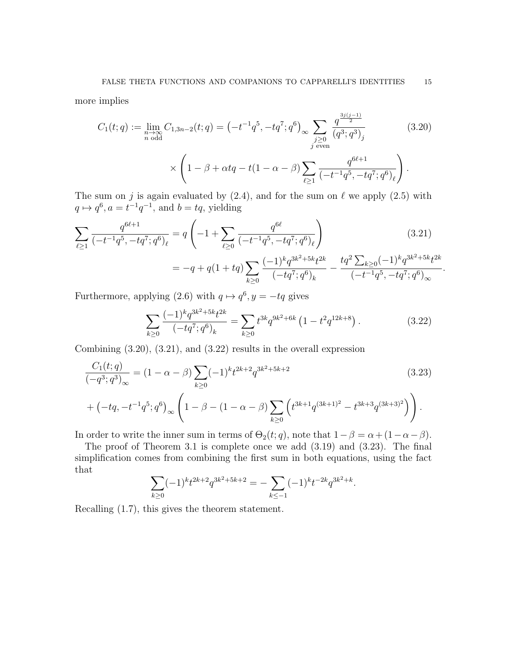more implies

$$
C_1(t;q) := \lim_{\substack{n \to \infty \\ n \text{ odd}}} C_{1,3n-2}(t;q) = \left(-t^{-1}q^5, -tq^7; q^6\right)_{\infty} \sum_{\substack{j \ge 0 \\ j \text{ even}}} \frac{q^{\frac{3j(j-1)}{2}}}{\left(q^3; q^3\right)_j} \tag{3.20}
$$
\n
$$
\times \left(1 - \beta + \alpha tq - t(1 - \alpha - \beta) \sum_{\ell \ge 1} \frac{q^{6\ell+1}}{\left(-t^{-1}q^5, -tq^7; q^6\right)_{\ell}}\right).
$$

The sum on j is again evaluated by  $(2.4)$ , and for the sum on  $\ell$  we apply  $(2.5)$  with  $q \mapsto q^6, a = t^{-1}q^{-1}, \text{ and } b = tq, \text{ yielding}$ 

$$
\sum_{\ell \ge 1} \frac{q^{6\ell+1}}{(-t^{-1}q^5, -tq^7; q^6)_{\ell}} = q\left(-1 + \sum_{\ell \ge 0} \frac{q^{6\ell}}{(-t^{-1}q^5, -tq^7; q^6)_{\ell}}\right)
$$
(3.21)  
=  $-q + q(1 + tq) \sum_{k \ge 0} \frac{(-1)^k q^{3k^2 + 5k} t^{2k}}{(-tq^7; q^6)_k} - \frac{tq^2 \sum_{k \ge 0} (-1)^k q^{3k^2 + 5k} t^{2k}}{(-t^{-1}q^5, -tq^7; q^6)_{\infty}}.$ 

Furthermore, applying (2.6) with  $q \mapsto q^6, y = -tq$  gives

$$
\sum_{k\geq 0} \frac{(-1)^k q^{3k^2+5k} t^{2k}}{(-tq^7; q^6)_k} = \sum_{k\geq 0} t^{3k} q^{9k^2+6k} \left(1 - t^2 q^{12k+8}\right). \tag{3.22}
$$

Combining (3.20), (3.21), and (3.22) results in the overall expression

$$
\frac{C_1(t;q)}{(-q^3;q^3)_{\infty}} = (1 - \alpha - \beta) \sum_{k\geq 0} (-1)^k t^{2k+2} q^{3k^2+5k+2}
$$
\n
$$
+ (-tq, -t^{-1}q^5; q^6)_{\infty} \left(1 - \beta - (1 - \alpha - \beta) \sum_{k\geq 0} \left(t^{3k+1} q^{(3k+1)^2} - t^{3k+3} q^{(3k+3)^2}\right)\right).
$$
\n(3.23)

In order to write the inner sum in terms of  $\Theta_2(t; q)$ , note that  $1 - \beta = \alpha + (1 - \alpha - \beta)$ .

The proof of Theorem 3.1 is complete once we add (3.19) and (3.23). The final simplification comes from combining the first sum in both equations, using the fact that

$$
\sum_{k\geq 0} (-1)^k t^{2k+2} q^{3k^2+5k+2} = -\sum_{k\leq -1} (-1)^k t^{-2k} q^{3k^2+k}.
$$

Recalling (1.7), this gives the theorem statement.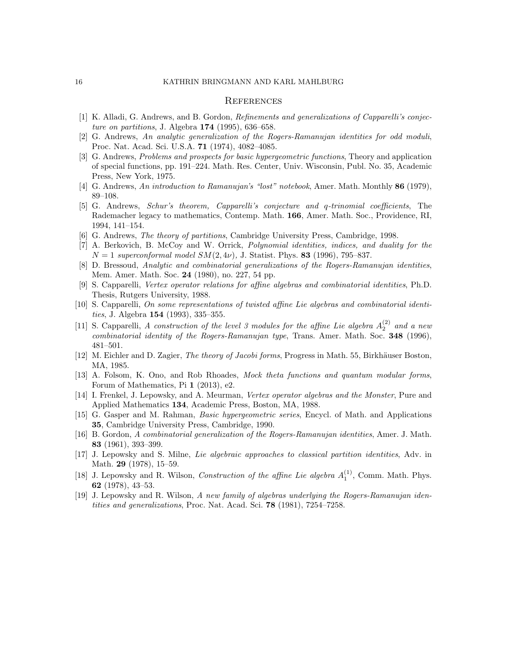#### **REFERENCES**

- [1] K. Alladi, G. Andrews, and B. Gordon, Refinements and generalizations of Capparelli's conjecture on partitions, J. Algebra 174 (1995), 636–658.
- [2] G. Andrews, An analytic generalization of the Rogers-Ramanujan identities for odd moduli, Proc. Nat. Acad. Sci. U.S.A. 71 (1974), 4082–4085.
- [3] G. Andrews, Problems and prospects for basic hypergeometric functions, Theory and application of special functions, pp. 191–224. Math. Res. Center, Univ. Wisconsin, Publ. No. 35, Academic Press, New York, 1975.
- [4] G. Andrews, An introduction to Ramanujan's "lost" notebook, Amer. Math. Monthly 86 (1979), 89–108.
- [5] G. Andrews, Schur's theorem, Capparelli's conjecture and q-trinomial coefficients, The Rademacher legacy to mathematics, Contemp. Math. 166, Amer. Math. Soc., Providence, RI, 1994, 141–154.
- [6] G. Andrews, The theory of partitions, Cambridge University Press, Cambridge, 1998.
- [7] A. Berkovich, B. McCoy and W. Orrick, *Polynomial identities, indices, and duality for the*  $N = 1$  superconformal model  $SM(2, 4\nu)$ , J. Statist. Phys. 83 (1996), 795–837.
- [8] D. Bressoud, Analytic and combinatorial generalizations of the Rogers-Ramanujan identities, Mem. Amer. Math. Soc. 24 (1980), no. 227, 54 pp.
- [9] S. Capparelli, Vertex operator relations for affine algebras and combinatorial identities, Ph.D. Thesis, Rutgers University, 1988.
- [10] S. Capparelli, On some representations of twisted affine Lie algebras and combinatorial identities, J. Algebra 154 (1993), 335–355.
- [11] S. Capparelli, A construction of the level 3 modules for the affine Lie algebra  $A_2^{(2)}$  and a new combinatorial identity of the Rogers-Ramanujan type, Trans. Amer. Math. Soc. 348 (1996), 481–501.
- [12] M. Eichler and D. Zagier, The theory of Jacobi forms, Progress in Math. 55, Birkhäuser Boston, MA, 1985.
- [13] A. Folsom, K. Ono, and Rob Rhoades, Mock theta functions and quantum modular forms, Forum of Mathematics, Pi 1 (2013), e2.
- [14] I. Frenkel, J. Lepowsky, and A. Meurman, Vertex operator algebras and the Monster, Pure and Applied Mathematics 134, Academic Press, Boston, MA, 1988.
- [15] G. Gasper and M. Rahman, Basic hypergeometric series, Encycl. of Math. and Applications 35, Cambridge University Press, Cambridge, 1990.
- [16] B. Gordon, A combinatorial generalization of the Rogers-Ramanujan identities, Amer. J. Math. 83 (1961), 393–399.
- [17] J. Lepowsky and S. Milne, Lie algebraic approaches to classical partition identities, Adv. in Math. 29 (1978), 15–59.
- [18] J. Lepowsky and R. Wilson, *Construction of the affine Lie algebra*  $A_1^{(1)}$ , Comm. Math. Phys. 62 (1978), 43–53.
- [19] J. Lepowsky and R. Wilson, A new family of algebras underlying the Rogers-Ramanujan identities and generalizations, Proc. Nat. Acad. Sci. 78 (1981), 7254–7258.